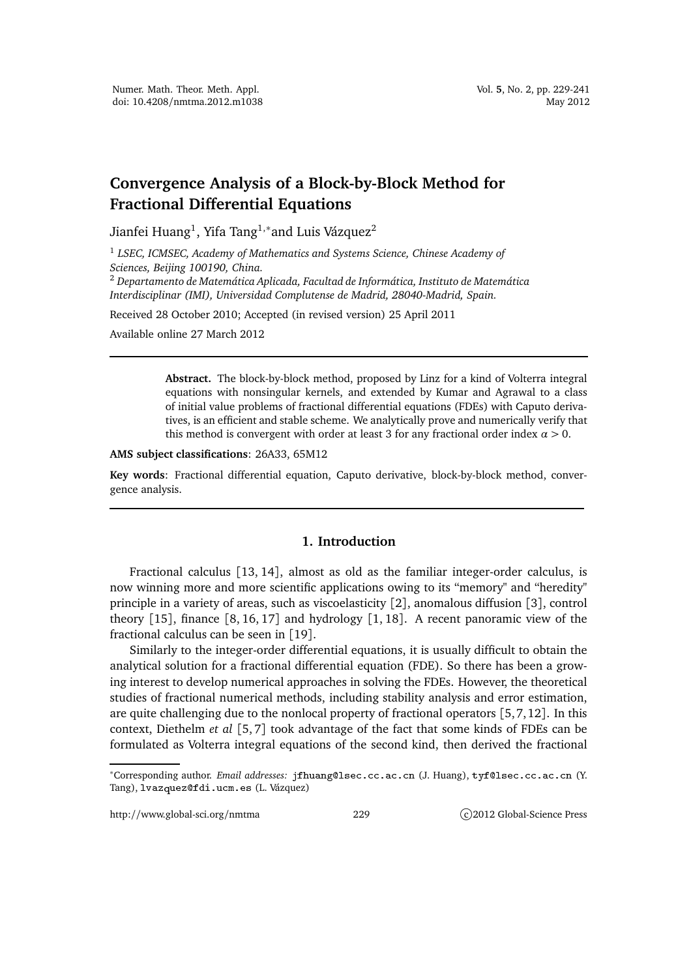# **Convergence Analysis of a Block-by-Block Method for Fractional Differential Equations**

Jianfei Huang $^1$ , Yifa Tang $^{1,\ast}$ and Luis Vázquez $^2$ 

1 *LSEC, ICMSEC, Academy of Mathematics and Systems Science, Chinese Academy of Sciences, Beijing 100190, China.*

<sup>2</sup> *Departamento de Matemática Aplicada, Facultad de Informática, Instituto de Matemática Interdisciplinar (IMI), Universidad Complutense de Madrid, 28040-Madrid, Spain.*

Received 28 October 2010; Accepted (in revised version) 25 April 2011

Available online 27 March 2012

**Abstract.** The block-by-block method, proposed by Linz for a kind of Volterra integral equations with nonsingular kernels, and extended by Kumar and Agrawal to a class of initial value problems of fractional differential equations (FDEs) with Caputo derivatives, is an efficient and stable scheme. We analytically prove and numerically verify that this method is convergent with order at least 3 for any fractional order index  $\alpha > 0$ .

**AMS subject classifications**: 26A33, 65M12

**Key words**: Fractional differential equation, Caputo derivative, block-by-block method, convergence analysis.

# **1. Introduction**

Fractional calculus [13, 14], almost as old as the familiar integer-order calculus, is now winning more and more scientific applications owing to its "memory" and "heredity" principle in a variety of areas, such as viscoelasticity [2], anomalous diffusion [3], control theory  $[15]$ , finance  $[8, 16, 17]$  and hydrology  $[1, 18]$ . A recent panoramic view of the fractional calculus can be seen in [19].

Similarly to the integer-order differential equations, it is usually difficult to obtain the analytical solution for a fractional differential equation (FDE). So there has been a growing interest to develop numerical approaches in solving the FDEs. However, the theoretical studies of fractional numerical methods, including stability analysis and error estimation, are quite challenging due to the nonlocal property of fractional operators [5,7,12]. In this context, Diethelm *et al* [5, 7] took advantage of the fact that some kinds of FDEs can be formulated as Volterra integral equations of the second kind, then derived the fractional

http://www.global-sci.org/nmtma 229 c)2012 Global-Science Press

<sup>\*</sup>Corresponding author. *Email addresses*: jfhuang@lsec.cc.ac.cn (J. Huang), tyf@lsec.cc.ac.cn (Y. Tang), lvazquez@fdi.ucm.es (L. Vázquez)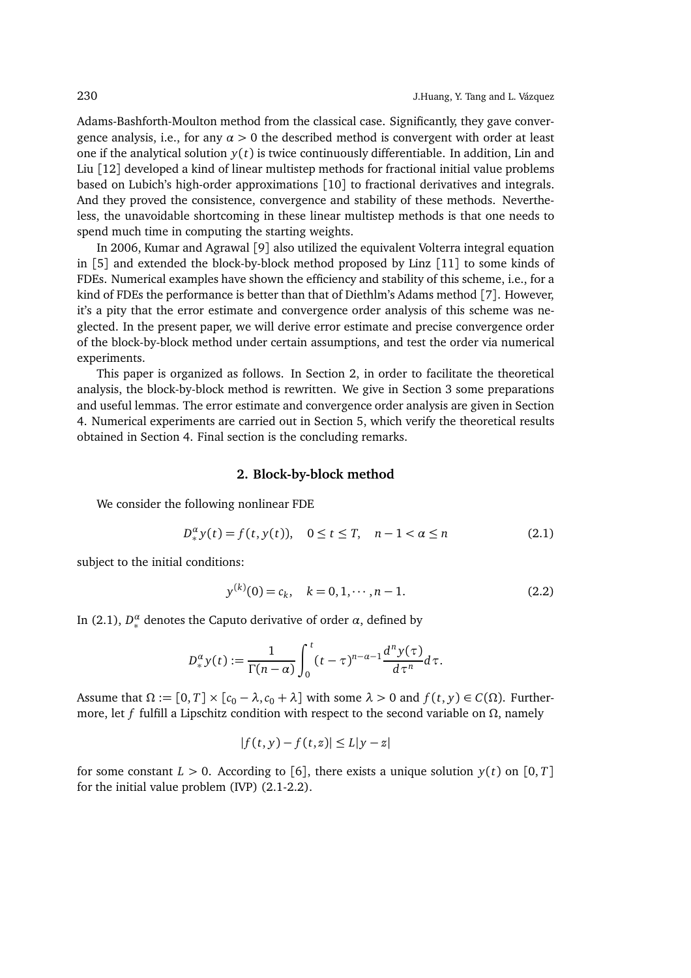Adams-Bashforth-Moulton method from the classical case. Significantly, they gave convergence analysis, i.e., for any  $\alpha > 0$  the described method is convergent with order at least one if the analytical solution  $y(t)$  is twice continuously differentiable. In addition, Lin and Liu [12] developed a kind of linear multistep methods for fractional initial value problems based on Lubich's high-order approximations [10] to fractional derivatives and integrals. And they proved the consistence, convergence and stability of these methods. Nevertheless, the unavoidable shortcoming in these linear multistep methods is that one needs to spend much time in computing the starting weights.

In 2006, Kumar and Agrawal [9] also utilized the equivalent Volterra integral equation in [5] and extended the block-by-block method proposed by Linz [11] to some kinds of FDEs. Numerical examples have shown the efficiency and stability of this scheme, i.e., for a kind of FDEs the performance is better than that of Diethlm's Adams method [7]. However, it's a pity that the error estimate and convergence order analysis of this scheme was neglected. In the present paper, we will derive error estimate and precise convergence order of the block-by-block method under certain assumptions, and test the order via numerical experiments.

This paper is organized as follows. In Section 2, in order to facilitate the theoretical analysis, the block-by-block method is rewritten. We give in Section 3 some preparations and useful lemmas. The error estimate and convergence order analysis are given in Section 4. Numerical experiments are carried out in Section 5, which verify the theoretical results obtained in Section 4. Final section is the concluding remarks.

#### **2. Block-by-block method**

We consider the following nonlinear FDE

$$
D_{*}^{\alpha} y(t) = f(t, y(t)), \quad 0 \le t \le T, \quad n - 1 < \alpha \le n
$$
 (2.1)

subject to the initial conditions:

$$
y^{(k)}(0) = c_k, \quad k = 0, 1, \cdots, n - 1.
$$
 (2.2)

In (2.1),  $D_*^{\alpha}$  denotes the Caputo derivative of order  $\alpha$ , defined by

$$
D_{*}^{\alpha}y(t):=\frac{1}{\Gamma(n-\alpha)}\int_{0}^{t}(t-\tau)^{n-\alpha-1}\frac{d^{n}y(\tau)}{d\tau^{n}}d\tau.
$$

Assume that  $\Omega := [0, T] \times [c_0 - \lambda, c_0 + \lambda]$  with some  $\lambda > 0$  and  $f(t, y) \in C(\Omega)$ . Furthermore, let *f* fulfill a Lipschitz condition with respect to the second variable on  $\Omega$ , namely

$$
|f(t,y)-f(t,z)| \le L|y-z|
$$

for some constant  $L > 0$ . According to [6], there exists a unique solution  $y(t)$  on [0, *T*] for the initial value problem (IVP) (2.1-2.2).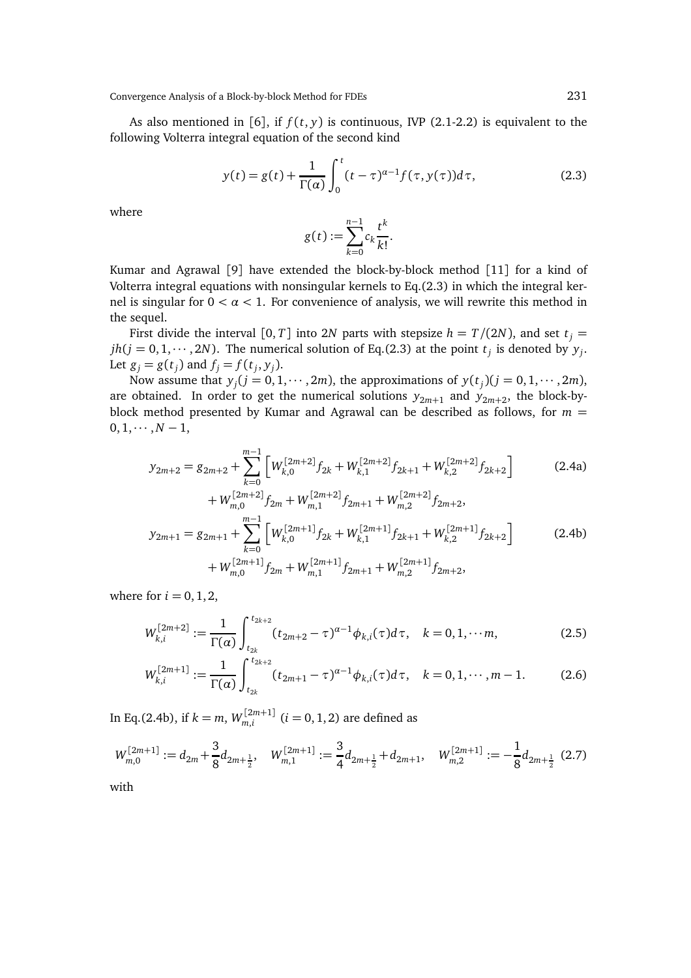Convergence Analysis of a Block-by-block Method for FDEs 231

As also mentioned in [6], if  $f(t, y)$  is continuous, IVP (2.1-2.2) is equivalent to the following Volterra integral equation of the second kind

$$
y(t) = g(t) + \frac{1}{\Gamma(\alpha)} \int_0^t (t - \tau)^{\alpha - 1} f(\tau, y(\tau)) d\tau,
$$
\n(2.3)

where

$$
g(t) := \sum_{k=0}^{n-1} c_k \frac{t^k}{k!}.
$$

Kumar and Agrawal [9] have extended the block-by-block method [11] for a kind of Volterra integral equations with nonsingular kernels to Eq.(2.3) in which the integral kernel is singular for  $0 < \alpha < 1$ . For convenience of analysis, we will rewrite this method in the sequel.

First divide the interval [0, *T*] into 2*N* parts with stepsize  $h = T/(2N)$ , and set  $t_i =$  $jh(j = 0, 1, \dots, 2N)$ . The numerical solution of Eq.(2.3) at the point  $t_j$  is denoted by  $y_j$ . Let  $g_j = g(t_j)$  and  $f_j = f(t_j, y_j)$ .

Now assume that  $y_j$  ( $j = 0, 1, \dots, 2m$ ), the approximations of  $y(t_j)$  ( $j = 0, 1, \dots, 2m$ ), are obtained. In order to get the numerical solutions  $y_{2m+1}$  and  $y_{2m+2}$ , the block-byblock method presented by Kumar and Agrawal can be described as follows, for  $m =$  $0, 1, \cdots, N-1,$ 

$$
y_{2m+2} = g_{2m+2} + \sum_{k=0}^{m-1} \left[ W_{k,0}^{[2m+2]} f_{2k} + W_{k,1}^{[2m+2]} f_{2k+1} + W_{k,2}^{[2m+2]} f_{2k+2} \right]
$$
(2.4a)

$$
+ W_{m,0}^{[2m+2]} f_{2m} + W_{m,1}^{[2m+2]} f_{2m+1} + W_{m,2}^{[2m+2]} f_{2m+2},
$$
  
\n
$$
y_{2m+1} = g_{2m+1} + \sum_{k=0}^{m-1} \left[ W_{k,0}^{[2m+1]} f_{2k} + W_{k,1}^{[2m+1]} f_{2k+1} + W_{k,2}^{[2m+1]} f_{2k+2} \right] \qquad (2.4b)
$$
  
\n
$$
+ W_{m,0}^{[2m+1]} f_{2m} + W_{m,1}^{[2m+1]} f_{2m+1} + W_{m,2}^{[2m+1]} f_{2m+2},
$$

where for  $i = 0, 1, 2$ ,

$$
W_{k,i}^{[2m+2]} := \frac{1}{\Gamma(\alpha)} \int_{t_{2k}}^{t_{2k+2}} (t_{2m+2} - \tau)^{\alpha-1} \phi_{k,i}(\tau) d\tau, \quad k = 0, 1, \cdots m,
$$
 (2.5)

$$
W_{k,i}^{[2m+1]} := \frac{1}{\Gamma(\alpha)} \int_{t_{2k}}^{t_{2k+2}} (t_{2m+1} - \tau)^{\alpha-1} \phi_{k,i}(\tau) d\tau, \quad k = 0, 1, \cdots, m-1.
$$
 (2.6)

In Eq.(2.4b), if  $k = m$ ,  $W_{m,i}^{[2m+1]}$  $\sum_{m,i}$   $(i = 0, 1, 2)$  are defined as

$$
W_{m,0}^{[2m+1]} := d_{2m} + \frac{3}{8}d_{2m+\frac{1}{2}}, \quad W_{m,1}^{[2m+1]} := \frac{3}{4}d_{2m+\frac{1}{2}} + d_{2m+1}, \quad W_{m,2}^{[2m+1]} := -\frac{1}{8}d_{2m+\frac{1}{2}} \tag{2.7}
$$

with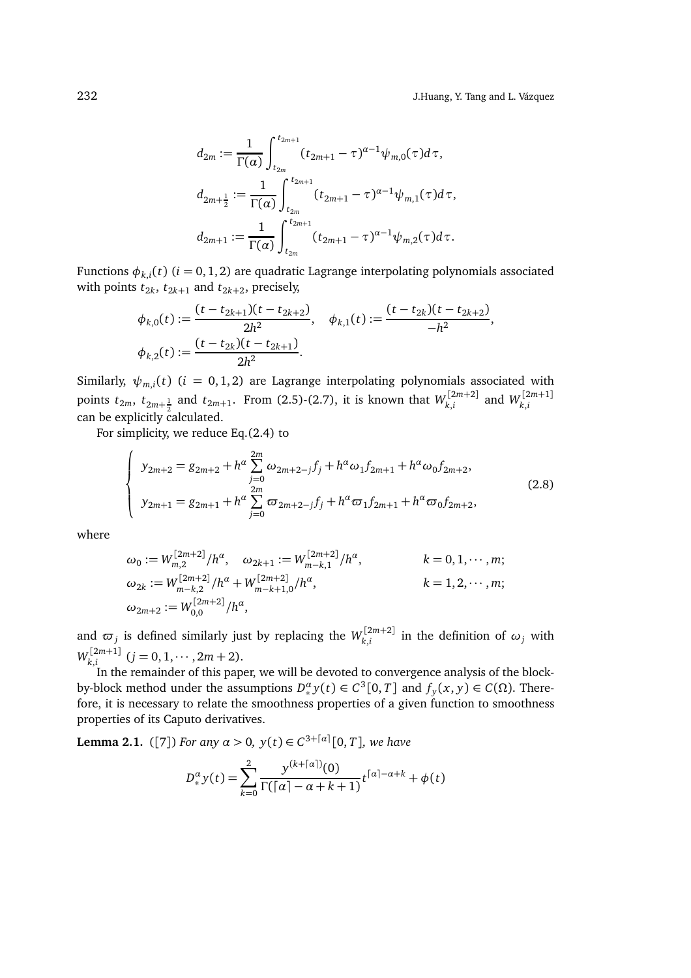$$
d_{2m} := \frac{1}{\Gamma(\alpha)} \int_{t_{2m}}^{t_{2m+1}} (t_{2m+1} - \tau)^{\alpha-1} \psi_{m,0}(\tau) d\tau,
$$
  

$$
d_{2m+\frac{1}{2}} := \frac{1}{\Gamma(\alpha)} \int_{t_{2m}}^{t_{2m+1}} (t_{2m+1} - \tau)^{\alpha-1} \psi_{m,1}(\tau) d\tau,
$$
  

$$
d_{2m+1} := \frac{1}{\Gamma(\alpha)} \int_{t_{2m}}^{t_{2m+1}} (t_{2m+1} - \tau)^{\alpha-1} \psi_{m,2}(\tau) d\tau.
$$

Functions  $\phi_{k,i}(t)$   $(i = 0, 1, 2)$  are quadratic Lagrange interpolating polynomials associated with points  $t_{2k}$ ,  $t_{2k+1}$  and  $t_{2k+2}$ , precisely,

$$
\phi_{k,0}(t) := \frac{(t - t_{2k+1})(t - t_{2k+2})}{2h^2}, \quad \phi_{k,1}(t) := \frac{(t - t_{2k})(t - t_{2k+2})}{-h^2},
$$

$$
\phi_{k,2}(t) := \frac{(t - t_{2k})(t - t_{2k+1})}{2h^2}.
$$

Similarly,  $\psi_{m,i}(t)$  ( $i = 0, 1, 2$ ) are Lagrange interpolating polynomials associated with points  $t_{2m}$ ,  $t_{2m+\frac{1}{2}}$  and  $t_{2m+1}$ . From (2.5)-(2.7), it is known that  $W_{k,i}^{[2m+2]}$ can be explicitly calculated.  $\binom{[2m+2]}{k,i}$  and  $W_{k,i}^{[2m+1]}$ *k*,*i*

For simplicity, we reduce Eq.(2.4) to

$$
\begin{cases}\ny_{2m+2} = g_{2m+2} + h^{\alpha} \sum_{j=0}^{2m} \omega_{2m+2-j} f_j + h^{\alpha} \omega_1 f_{2m+1} + h^{\alpha} \omega_0 f_{2m+2}, \\
y_{2m+1} = g_{2m+1} + h^{\alpha} \sum_{j=0}^{2m} \sigma_{2m+2-j} f_j + h^{\alpha} \sigma_1 f_{2m+1} + h^{\alpha} \sigma_0 f_{2m+2},\n\end{cases} (2.8)
$$

where

$$
\omega_0 := W_{m,2}^{[2m+2]}/h^{\alpha}, \quad \omega_{2k+1} := W_{m-k,1}^{[2m+2]}/h^{\alpha}, \qquad k = 0, 1, \cdots, m;
$$
  
\n
$$
\omega_{2k} := W_{m-k,2}^{[2m+2]}/h^{\alpha} + W_{m-k+1,0}^{[2m+2]}/h^{\alpha}, \qquad k = 1, 2, \cdots, m;
$$
  
\n
$$
\omega_{2m+2} := W_{0,0}^{[2m+2]}/h^{\alpha}, \qquad k = 1, 2, \cdots, m;
$$

and  $\varpi_j$  is defined similarly just by replacing the  $W_{k,i}^{[2m+2]}$  $\sum_{k,i}$  in the definition of  $ω_j$  with  $W_{k,i}^{[2m+1]}$  $\sum_{k,i}^{[2m+1]}$   $(j = 0, 1, \cdots, 2m+2).$ 

In the remainder of this paper, we will be devoted to convergence analysis of the blockby-block method under the assumptions  $D_*^{\alpha} y(t) \in C^3[0,T]$  and  $f_y(x, y) \in C(\Omega)$ . Therefore, it is necessary to relate the smoothness properties of a given function to smoothness properties of its Caputo derivatives.

**Lemma 2.1.** ([7]) *For any*  $\alpha > 0$ ,  $y(t) \in C^{3+[\alpha]}[0, T]$ , we have

$$
D_{*}^{\alpha} y(t) = \sum_{k=0}^{2} \frac{y^{(k + \lceil \alpha \rceil)}(0)}{\Gamma(\lceil \alpha \rceil - \alpha + k + 1)} t^{\lceil \alpha \rceil - \alpha + k} + \phi(t)
$$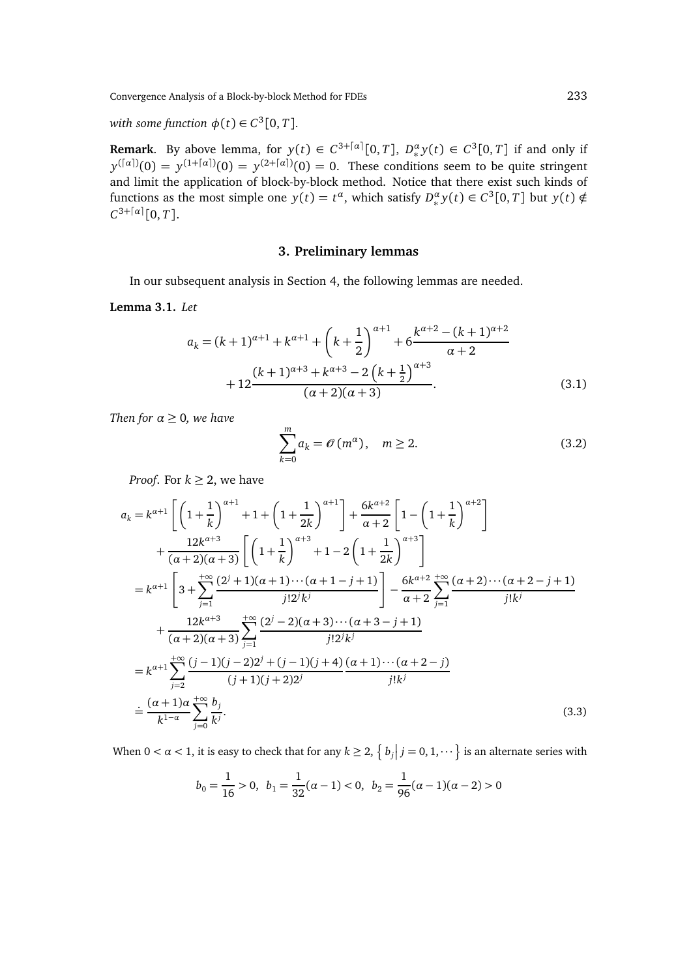Convergence Analysis of a Block-by-block Method for FDEs 233

*with some function*  $\phi(t) \in C^3[0, T]$ *.* 

**Remark**. By above lemma, for  $y(t) \in C^{3+[\alpha]}[0,T]$ ,  $D_*^{\alpha}y(t) \in C^3[0,T]$  if and only if  $y^{(\lceil \alpha \rceil)}(0) = y^{(1 + \lceil \alpha \rceil)}(0) = y^{(2 + \lceil \alpha \rceil)}(0) = 0.$  These conditions seem to be quite stringent and limit the application of block-by-block method. Notice that there exist such kinds of functions as the most simple one  $y(t) = t^{\alpha}$ , which satisfy  $D_*^{\alpha} y(t) \in C^3[0, T]$  but  $y(t) \notin$  $C^{3+[\alpha]}[0,T].$ 

#### **3. Preliminary lemmas**

In our subsequent analysis in Section 4, the following lemmas are needed.

### **Lemma 3.1.** *Let*

$$
a_{k} = (k+1)^{\alpha+1} + k^{\alpha+1} + \left(k + \frac{1}{2}\right)^{\alpha+1} + 6 \frac{k^{\alpha+2} - (k+1)^{\alpha+2}}{\alpha+2} + 12 \frac{(k+1)^{\alpha+3} + k^{\alpha+3} - 2\left(k + \frac{1}{2}\right)^{\alpha+3}}{(\alpha+2)(\alpha+3)}.
$$
\n(3.1)

*Then for*  $\alpha \geq 0$ *, we have* 

$$
\sum_{k=0}^{m} a_k = \mathcal{O}(m^{\alpha}), \quad m \ge 2.
$$
 (3.2)

*Proof.* For  $k \geq 2$ , we have

$$
a_{k} = k^{\alpha+1} \left[ \left( 1 + \frac{1}{k} \right)^{\alpha+1} + 1 + \left( 1 + \frac{1}{2k} \right)^{\alpha+1} \right] + \frac{6k^{\alpha+2}}{\alpha+2} \left[ 1 - \left( 1 + \frac{1}{k} \right)^{\alpha+2} \right]
$$
  
+ 
$$
\frac{12k^{\alpha+3}}{(\alpha+2)(\alpha+3)} \left[ \left( 1 + \frac{1}{k} \right)^{\alpha+3} + 1 - 2 \left( 1 + \frac{1}{2k} \right)^{\alpha+3} \right]
$$
  
=  $k^{\alpha+1} \left[ 3 + \sum_{j=1}^{+\infty} \frac{(2^{j} + 1)(\alpha + 1) \cdots (\alpha + 1 - j + 1)}{j!2^{j}k^{j}} \right] - \frac{6k^{\alpha+2}}{\alpha+2} \sum_{j=1}^{+\infty} \frac{(\alpha+2) \cdots (\alpha+2-j+1)}{j!k^{j}}$   
+ 
$$
\frac{12k^{\alpha+3}}{(\alpha+2)(\alpha+3)} \sum_{j=1}^{+\infty} \frac{(2^{j}-2)(\alpha+3) \cdots (\alpha+3-j+1)}{j!2^{j}k^{j}}
$$
  
=  $k^{\alpha+1} \sum_{j=2}^{+\infty} \frac{(j-1)(j-2)2^{j} + (j-1)(j+4)}{(j+1)(j+2)2^{j}} \frac{(\alpha+1) \cdots (\alpha+2-j)}{j!k^{j}}$   
= 
$$
\frac{(\alpha+1)\alpha}{k^{1-\alpha}} \sum_{j=0}^{+\infty} \frac{b_{j}}{k^{j}}.
$$
 (3.3)

When  $0 < \alpha < 1$ , it is easy to check that for any  $k \ge 2$ ,  $\left\{ b_j \Big| j = 0, 1, \cdots \right\}$  is an alternate series with

$$
b_0 = \frac{1}{16} > 0, \ b_1 = \frac{1}{32}(\alpha - 1) < 0, \ b_2 = \frac{1}{96}(\alpha - 1)(\alpha - 2) > 0
$$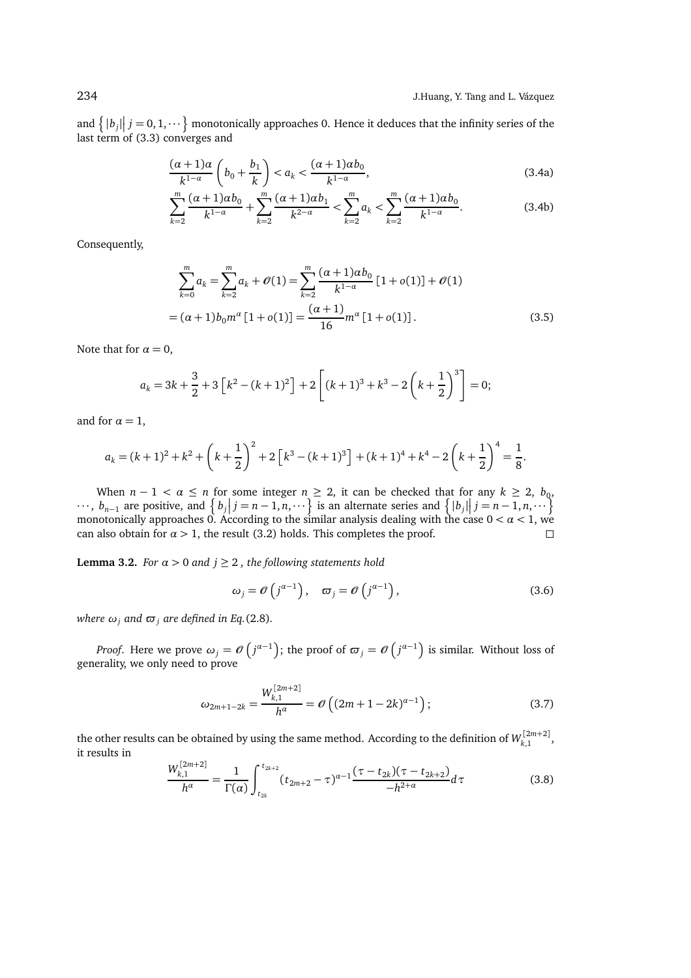and  $\{|b_j|\}\$  = 0, 1,  $\cdots$  monotonically approaches 0. Hence it deduces that the infinity series of the last term of (3.3) converges and

$$
\frac{(\alpha+1)a}{k^{1-\alpha}}\left(b_0 + \frac{b_1}{k}\right) < a_k < \frac{(\alpha+1)ab_0}{k^{1-\alpha}},\tag{3.4a}
$$

$$
\sum_{k=2}^{m} \frac{(\alpha+1)\alpha b_0}{k^{1-\alpha}} + \sum_{k=2}^{m} \frac{(\alpha+1)\alpha b_1}{k^{2-\alpha}} < \sum_{k=2}^{m} a_k < \sum_{k=2}^{m} \frac{(\alpha+1)\alpha b_0}{k^{1-\alpha}}.\tag{3.4b}
$$

Consequently,

$$
\sum_{k=0}^{m} a_k = \sum_{k=2}^{m} a_k + \mathcal{O}(1) = \sum_{k=2}^{m} \frac{(\alpha+1)\alpha b_0}{k^{1-\alpha}} [1 + o(1)] + \mathcal{O}(1)
$$

$$
= (\alpha+1)b_0 m^{\alpha} [1 + o(1)] = \frac{(\alpha+1)}{16} m^{\alpha} [1 + o(1)]. \tag{3.5}
$$

Note that for  $\alpha = 0$ ,

$$
a_k = 3k + \frac{3}{2} + 3\left[k^2 - (k+1)^2\right] + 2\left[(k+1)^3 + k^3 - 2\left(k + \frac{1}{2}\right)^3\right] = 0;
$$

and for  $\alpha = 1$ ,

$$
a_k = (k+1)^2 + k^2 + \left(k+\frac{1}{2}\right)^2 + 2\left[k^3 - (k+1)^3\right] + (k+1)^4 + k^4 - 2\left(k+\frac{1}{2}\right)^4 = \frac{1}{8}.
$$

When  $n-1 < \alpha \le n$  for some integer  $n \ge 2$ , it can be checked that for any  $k \ge 2$ ,  $b_0$ ,  $\cdots$ ,  $b_{n-1}$  are positive, and  $\left\{ b_j | j = n-1, n, \cdots \right\}$  is an alternate series and  $\left\{ |b_j| | j = n-1, n, \cdots \right\}$ monotonically approaches 0. According to the similar analysis dealing with the case 0 *< α <* 1, we can also obtain for  $\alpha > 1$ , the result (3.2) holds. This completes the proof.

**Lemma 3.2.** *For*  $\alpha > 0$  *and*  $j \geq 2$  *, the following statements hold* 

$$
\omega_j = \mathcal{O}\left(j^{\alpha - 1}\right), \quad \varpi_j = \mathcal{O}\left(j^{\alpha - 1}\right),\tag{3.6}
$$

*where*  $\omega_j$  *and*  $\varpi_j$  *are defined in Eq.*(2.8)*.* 

*Proof.* Here we prove  $\omega_j = \mathscr{O}\left(j^{\alpha-1}\right)$ ; the proof of  $\varpi_j = \mathscr{O}\left(j^{\alpha-1}\right)$  is similar. Without loss of generality, we only need to prove

$$
\omega_{2m+1-2k} = \frac{W_{k,1}^{[2m+2]}}{h^{\alpha}} = \mathcal{O}\left((2m+1-2k)^{\alpha-1}\right);
$$
\n(3.7)

the other results can be obtained by using the same method. According to the definition of  $W_{k,1}^{[2m+2]}$ , it results in [2*m*+2]

$$
\frac{W_{k,1}^{[2m+2]}}{h^{\alpha}} = \frac{1}{\Gamma(\alpha)} \int_{t_{2k}}^{t_{2k+2}} (t_{2m+2} - \tau)^{\alpha-1} \frac{(\tau - t_{2k})(\tau - t_{2k+2})}{-h^{2+\alpha}} d\tau
$$
(3.8)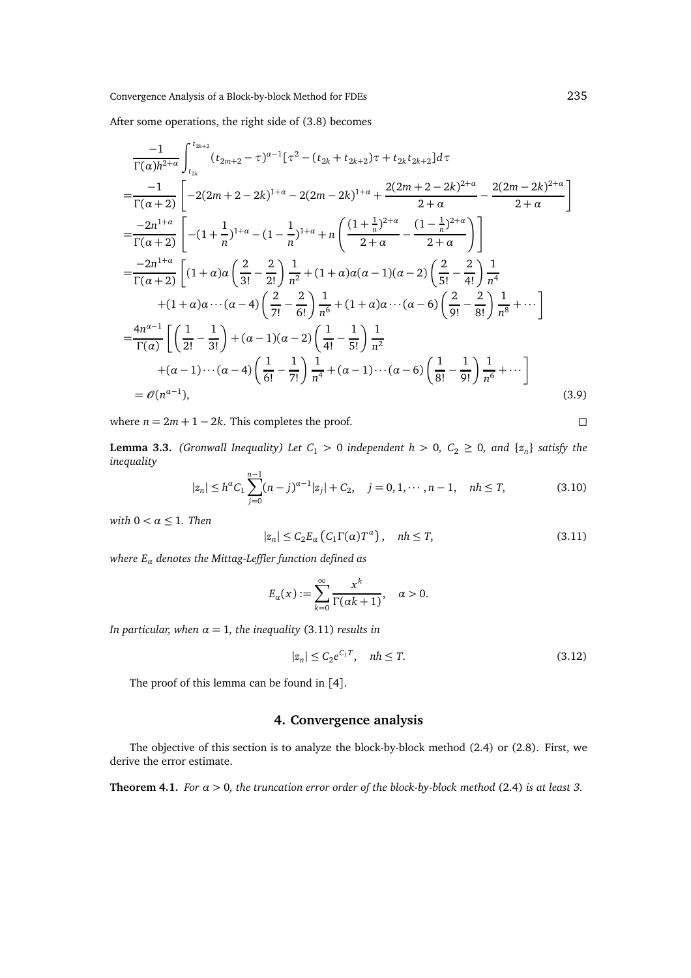After some operations, the right side of (3.8) becomes

$$
\frac{-1}{\Gamma(\alpha)h^{2+\alpha}} \int_{t_{2k}}^{t_{2k+2}} (t_{2m+2} - \tau)^{\alpha-1} [\tau^2 - (t_{2k} + t_{2k+2})\tau + t_{2k}t_{2k+2}] d\tau
$$
\n
$$
= \frac{-1}{\Gamma(\alpha+2)} \left[ -2(2m+2-2k)^{1+\alpha} - 2(2m-2k)^{1+\alpha} + \frac{2(2m+2-2k)^{2+\alpha}}{2+\alpha} - \frac{2(2m-2k)^{2+\alpha}}{2+\alpha} \right]
$$
\n
$$
= \frac{-2n^{1+\alpha}}{\Gamma(\alpha+2)} \left[ -(1+\frac{1}{n})^{1+\alpha} - (1-\frac{1}{n})^{1+\alpha} + n \left( \frac{(1+\frac{1}{n})^{2+\alpha}}{2+\alpha} - \frac{(1-\frac{1}{n})^{2+\alpha}}{2+\alpha} \right) \right]
$$
\n
$$
= \frac{-2n^{1+\alpha}}{\Gamma(\alpha+2)} \left[ (1+\alpha)\alpha \left( \frac{2}{3!} - \frac{2}{2!} \right) \frac{1}{n^2} + (1+\alpha)\alpha (\alpha-1)(\alpha-2) \left( \frac{2}{5!} - \frac{2}{4!} \right) \frac{1}{n^4} + (1+\alpha)\alpha \cdots (\alpha-4) \left( \frac{2}{7!} - \frac{2}{6!} \right) \frac{1}{n^6} + (1+\alpha)\alpha \cdots (\alpha-6) \left( \frac{2}{9!} - \frac{2}{8!} \right) \frac{1}{n^8} + \cdots \right]
$$
\n
$$
= \frac{4n^{\alpha-1}}{\Gamma(\alpha)} \left[ \left( \frac{1}{2!} - \frac{1}{3!} \right) + (\alpha-1)(\alpha-2) \left( \frac{1}{4!} - \frac{1}{5!} \right) \frac{1}{n^2} + (\alpha-1)\cdots (\alpha-6) \left( \frac{1}{8!} - \frac{1}{9!} \right) \frac{1}{n^6} + \cdots \right]
$$
\n
$$
= \mathcal{O}(n^{\alpha-1}), \tag{3.9}
$$

where  $n = 2m + 1 - 2k$ . This completes the proof.

**Lemma 3.3.** *(Gronwall Inequality) Let C*<sub>1</sub>  $>$  0 *independent h*  $>$  0*, C*<sub>2</sub>  $\geq$  0*, and* { $z_n$ } *satisfy the inequality*

$$
|z_n| \le h^{\alpha} C_1 \sum_{j=0}^{n-1} (n-j)^{\alpha-1} |z_j| + C_2, \quad j = 0, 1, \cdots, n-1, \quad nh \le T,
$$
 (3.10)

*with*  $0 < \alpha \leq 1$ *. Then* 

 $|z_n| \le C_2 E_\alpha (C_1 \Gamma(\alpha) T^\alpha), \quad nh \le T,$  (3.11)

*where E<sup>α</sup> denotes the Mittag-Leffler function defined as*

$$
E_{\alpha}(x):=\sum_{k=0}^{\infty}\frac{x^k}{\Gamma(\alpha k+1)}, \quad \alpha>0.
$$

*In particular, when*  $\alpha = 1$ *, the inequality* (3.11) *results in* 

$$
|z_n| \le C_2 e^{C_1 T}, \quad nh \le T. \tag{3.12}
$$

The proof of this lemma can be found in [4].

#### **4. Convergence analysis**

The objective of this section is to analyze the block-by-block method (2.4) or (2.8). First, we derive the error estimate.

**Theorem 4.1.** *For α >* 0*, the truncation error order of the block-by-block method* (2.4) *is at least 3.*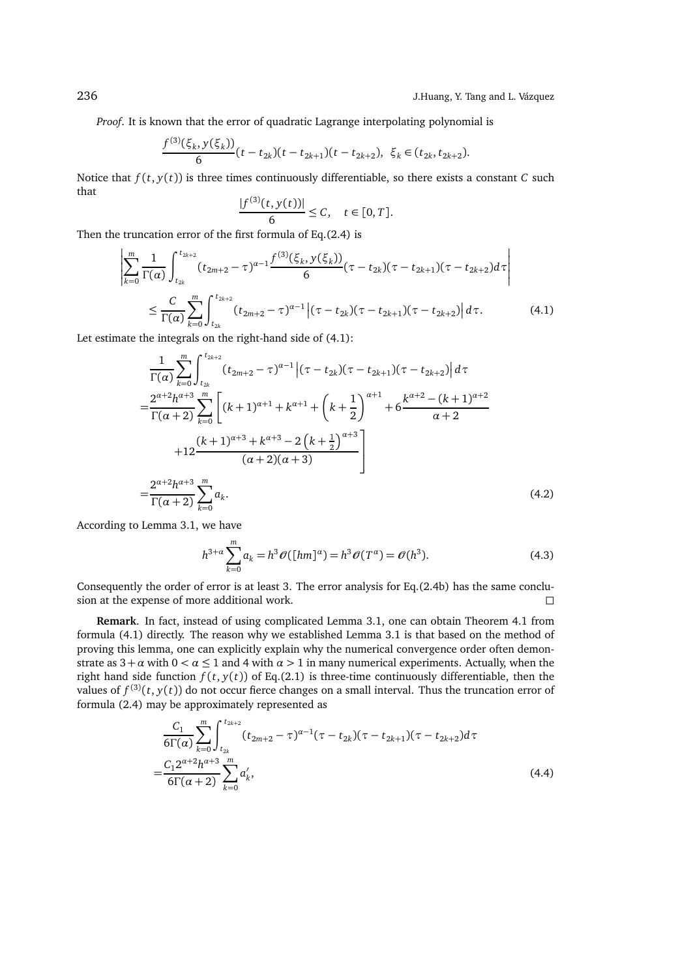*Proof*. It is known that the error of quadratic Lagrange interpolating polynomial is

$$
\frac{f^{(3)}(\xi_k, y(\xi_k))}{6}(t-t_{2k})(t-t_{2k+1})(t-t_{2k+2}), \xi_k \in (t_{2k}, t_{2k+2}).
$$

Notice that  $f(t, y(t))$  is three times continuously differentiable, so there exists a constant *C* such that  $\sim$ 

$$
\frac{|f^{(3)}(t, y(t))|}{6} \leq C, \quad t \in [0, T].
$$

Then the truncation error of the first formula of Eq.(2.4) is

$$
\left| \sum_{k=0}^{m} \frac{1}{\Gamma(\alpha)} \int_{t_{2k}}^{t_{2k+2}} (t_{2m+2} - \tau)^{\alpha-1} \frac{f^{(3)}(\xi_k, y(\xi_k))}{6} (\tau - t_{2k}) (\tau - t_{2k+1}) (\tau - t_{2k+2}) d\tau \right|
$$
  

$$
\leq \frac{C}{\Gamma(\alpha)} \sum_{k=0}^{m} \int_{t_{2k}}^{t_{2k+2}} (t_{2m+2} - \tau)^{\alpha-1} |(\tau - t_{2k}) (\tau - t_{2k+1}) (\tau - t_{2k+2}) | d\tau.
$$
 (4.1)

Let estimate the integrals on the right-hand side of (4.1):

Z *<sup>t</sup>*2*k*+<sup>2</sup>

$$
\frac{1}{\Gamma(\alpha)} \sum_{k=0}^{m} \int_{t_{2k}}^{t_{2k+2}} (t_{2m+2} - \tau)^{\alpha-1} \left| (\tau - t_{2k})(\tau - t_{2k+1})(\tau - t_{2k+2}) \right| d\tau
$$
\n
$$
= \frac{2^{\alpha+2} h^{\alpha+3}}{\Gamma(\alpha+2)} \sum_{k=0}^{m} \left[ (k+1)^{\alpha+1} + k^{\alpha+1} + \left( k + \frac{1}{2} \right)^{\alpha+1} + 6 \frac{k^{\alpha+2} - (k+1)^{\alpha+2}}{\alpha+2} + 12 \frac{(k+1)^{\alpha+3} + k^{\alpha+3} - 2\left( k + \frac{1}{2} \right)^{\alpha+3}}{(\alpha+2)(\alpha+3)} \right]
$$
\n
$$
= \frac{2^{\alpha+2} h^{\alpha+3}}{\Gamma(\alpha+2)} \sum_{k=0}^{m} a_k.
$$
\n(4.2)

According to Lemma 3.1, we have

$$
h^{3+\alpha} \sum_{k=0}^{m} a_k = h^3 \mathcal{O}([hm]^{\alpha}) = h^3 \mathcal{O}(T^{\alpha}) = \mathcal{O}(h^3).
$$
 (4.3)

Consequently the order of error is at least 3. The error analysis for Eq.(2.4b) has the same conclusion at the expense of more additional work.  $\Box$ 

**Remark**. In fact, instead of using complicated Lemma 3.1, one can obtain Theorem 4.1 from formula (4.1) directly. The reason why we established Lemma 3.1 is that based on the method of proving this lemma, one can explicitly explain why the numerical convergence order often demonstrate as  $3 + \alpha$  with  $0 < \alpha \le 1$  and 4 with  $\alpha > 1$  in many numerical experiments. Actually, when the right hand side function  $f(t, y(t))$  of Eq.(2.1) is three-time continuously differentiable, then the values of  $f^{(3)}(t, y(t))$  do not occur fierce changes on a small interval. Thus the truncation error of formula (2.4) may be approximately represented as

$$
\frac{C_1}{6\Gamma(\alpha)} \sum_{k=0}^{m} \int_{t_{2k}}^{t_{2k+2}} (t_{2m+2} - \tau)^{\alpha-1} (\tau - t_{2k}) (\tau - t_{2k+1}) (\tau - t_{2k+2}) d\tau
$$
  
= 
$$
\frac{C_1 2^{\alpha+2} h^{\alpha+3}}{6\Gamma(\alpha+2)} \sum_{k=0}^{m} a'_k,
$$
 (4.4)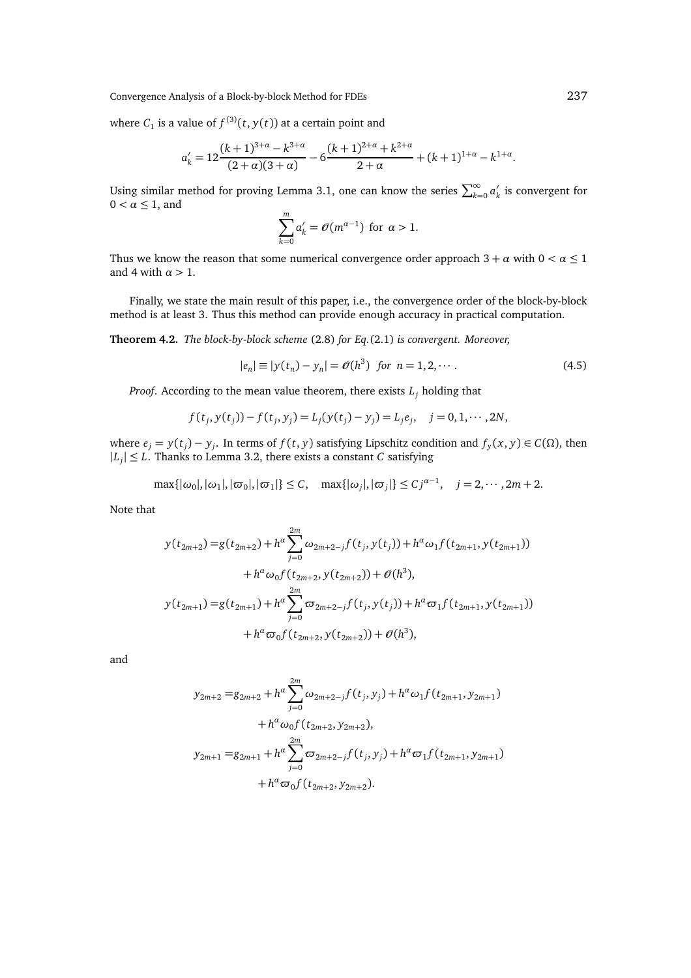Convergence Analysis of a Block-by-block Method for FDEs 237

where  $C_1$  is a value of  $f^{(3)}(t, y(t))$  at a certain point and

$$
a'_{k} = 12 \frac{(k+1)^{3+\alpha} - k^{3+\alpha}}{(2+\alpha)(3+\alpha)} - 6 \frac{(k+1)^{2+\alpha} + k^{2+\alpha}}{2+\alpha} + (k+1)^{1+\alpha} - k^{1+\alpha}.
$$

Using similar method for proving Lemma 3.1, one can know the series  $\sum_{k=0}^{\infty} a'_k$  is convergent for  $0 < \alpha \leq 1$ , and

$$
\sum_{k=0}^{m} a'_k = \mathcal{O}(m^{\alpha-1})
$$
 for  $\alpha > 1$ .

Thus we know the reason that some numerical convergence order approach  $3 + \alpha$  with  $0 < \alpha \leq 1$ and 4 with *α >* 1.

Finally, we state the main result of this paper, i.e., the convergence order of the block-by-block method is at least 3. Thus this method can provide enough accuracy in practical computation.

**Theorem 4.2.** *The block-by-block scheme* (2.8) *for Eq.*(2.1) *is convergent. Moreover,*

$$
|e_n| \equiv |y(t_n) - y_n| = \mathcal{O}(h^3) \text{ for } n = 1, 2, \cdots.
$$
 (4.5)

*Proof*. According to the mean value theorem, there exists *L<sup>j</sup>* holding that

$$
f(t_j, y(t_j)) - f(t_j, y_j) = L_j(y(t_j) - y_j) = L_j e_j, \quad j = 0, 1, \cdots, 2N,
$$

where *e*<sub>*j*</sub> = *y*(*t*<sub>*j*</sub>) − *y*<sub>*j*</sub>. In terms of *f*(*t*, *y*) satisfying Lipschitz condition and *f*<sub>*y*</sub>(*x*, *y*) ∈ *C*(Ω), then  $|L_j| \leq L$ . Thanks to Lemma 3.2, there exists a constant *C* satisfying

$$
\max\{|\omega_0|, |\omega_1|, |\varpi_0|, |\varpi_1|\} \le C, \quad \max\{|\omega_j|, |\varpi_j|\} \le Cj^{\alpha-1}, \quad j = 2, \cdots, 2m+2.
$$

Note that

$$
y(t_{2m+2}) = g(t_{2m+2}) + h^{\alpha} \sum_{j=0}^{2m} \omega_{2m+2-j} f(t_j, y(t_j)) + h^{\alpha} \omega_1 f(t_{2m+1}, y(t_{2m+1}))
$$
  
+ 
$$
h^{\alpha} \omega_0 f(t_{2m+2}, y(t_{2m+2})) + \mathcal{O}(h^3),
$$
  

$$
y(t_{2m+1}) = g(t_{2m+1}) + h^{\alpha} \sum_{j=0}^{2m} \sigma_{2m+2-j} f(t_j, y(t_j)) + h^{\alpha} \sigma_1 f(t_{2m+1}, y(t_{2m+1}))
$$
  
+ 
$$
h^{\alpha} \sigma_0 f(t_{2m+2}, y(t_{2m+2})) + \mathcal{O}(h^3),
$$

and

$$
y_{2m+2} = g_{2m+2} + h^{\alpha} \sum_{j=0}^{2m} \omega_{2m+2-j} f(t_j, y_j) + h^{\alpha} \omega_1 f(t_{2m+1}, y_{2m+1})
$$
  
+ 
$$
h^{\alpha} \omega_0 f(t_{2m+2}, y_{2m+2}),
$$
  

$$
y_{2m+1} = g_{2m+1} + h^{\alpha} \sum_{j=0}^{2m} \omega_{2m+2-j} f(t_j, y_j) + h^{\alpha} \omega_1 f(t_{2m+1}, y_{2m+1})
$$
  
+ 
$$
h^{\alpha} \omega_0 f(t_{2m+2}, y_{2m+2}).
$$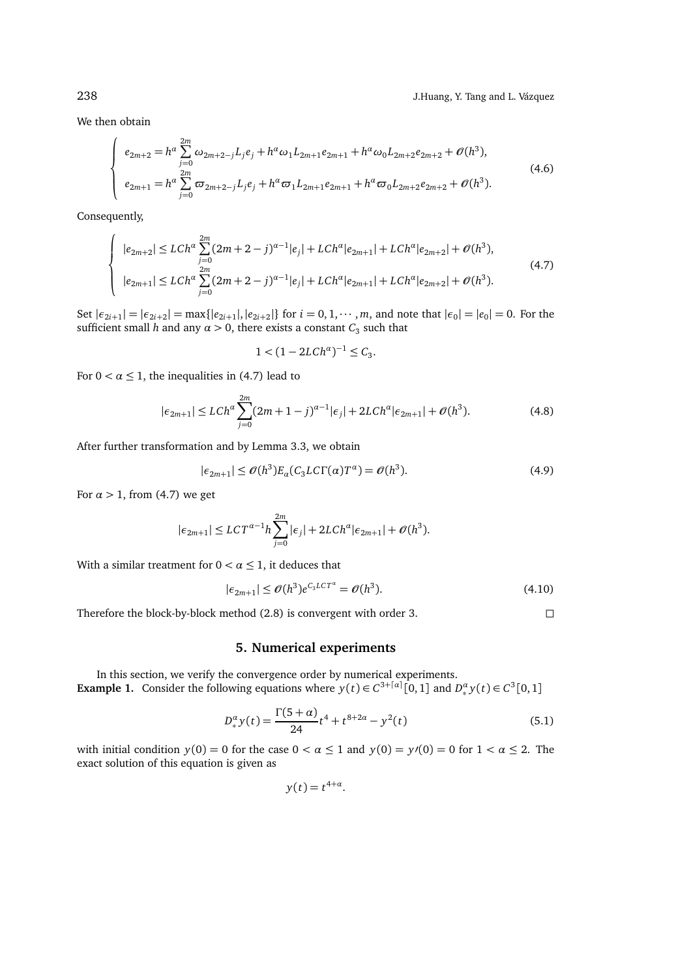We then obtain

$$
\begin{cases}\ne_{2m+2} = h^{\alpha} \sum_{j=0}^{2m} \omega_{2m+2-j} L_j e_j + h^{\alpha} \omega_1 L_{2m+1} e_{2m+1} + h^{\alpha} \omega_0 L_{2m+2} e_{2m+2} + \mathcal{O}(h^3), \\
e_{2m+1} = h^{\alpha} \sum_{j=0}^{2m} \varpi_{2m+2-j} L_j e_j + h^{\alpha} \varpi_1 L_{2m+1} e_{2m+1} + h^{\alpha} \varpi_0 L_{2m+2} e_{2m+2} + \mathcal{O}(h^3).\n\end{cases} (4.6)
$$

Consequently,

$$
\begin{cases}\n|e_{2m+2}| \le L Ch^{\alpha} \sum_{j=0}^{2m} (2m+2-j)^{\alpha-1} |e_j| + LCh^{\alpha} |e_{2m+1}| + LCh^{\alpha} |e_{2m+2}| + \mathcal{O}(h^3), \\
|e_{2m+1}| \le LCh^{\alpha} \sum_{j=0}^{2m} (2m+2-j)^{\alpha-1} |e_j| + LCh^{\alpha} |e_{2m+1}| + LCh^{\alpha} |e_{2m+2}| + \mathcal{O}(h^3).\n\end{cases} (4.7)
$$

Set  $|\epsilon_{2i+1}| = |\epsilon_{2i+2}| = \max\{|e_{2i+1}|, |e_{2i+2}|\}$  for  $i = 0, 1, \dots, m$ , and note that  $|\epsilon_0| = |e_0| = 0$ . For the sufficient small *h* and any  $\alpha > 0$ , there exists a constant  $C_3$  such that

$$
1 < (1 - 2LCh^{\alpha})^{-1} \le C_3.
$$

For  $0 < \alpha \leq 1$ , the inequalities in (4.7) lead to

$$
|\epsilon_{2m+1}| \le L Ch^{\alpha} \sum_{j=0}^{2m} (2m+1-j)^{\alpha-1} |\epsilon_j| + 2L Ch^{\alpha} |\epsilon_{2m+1}| + \mathcal{O}(h^3). \tag{4.8}
$$

After further transformation and by Lemma 3.3, we obtain

$$
|\epsilon_{2m+1}| \le \mathcal{O}(h^3) E_{\alpha}(C_3 L C \Gamma(\alpha) T^{\alpha}) = \mathcal{O}(h^3). \tag{4.9}
$$

For  $\alpha > 1$ , from (4.7) we get

$$
|\epsilon_{2m+1}| \le LCT^{\alpha-1}h \sum_{j=0}^{2m} |\epsilon_j| + 2LCh^{\alpha}|\epsilon_{2m+1}| + \mathcal{O}(h^3).
$$

With a similar treatment for  $0 < \alpha \leq 1$ , it deduces that

$$
|\epsilon_{2m+1}| \le \mathcal{O}(h^3) e^{C_3 L C T^a} = \mathcal{O}(h^3). \tag{4.10}
$$

Therefore the block-by-block method (2.8) is convergent with order 3.

### **5. Numerical experiments**

In this section, we verify the convergence order by numerical experiments. **Example 1.** Consider the following equations where  $y(t) \in C^{3+[\alpha]}[0,1]$  and  $D_*^{\alpha}y(t) \in C^3[0,1]$ 

$$
D_{*}^{\alpha}y(t) = \frac{\Gamma(5+\alpha)}{24}t^4 + t^{8+2\alpha} - y^2(t)
$$
\n(5.1)

with initial condition  $y(0) = 0$  for the case  $0 < \alpha \le 1$  and  $y(0) = y'(0) = 0$  for  $1 < \alpha \le 2$ . The exact solution of this equation is given as

$$
y(t) = t^{4+\alpha}.
$$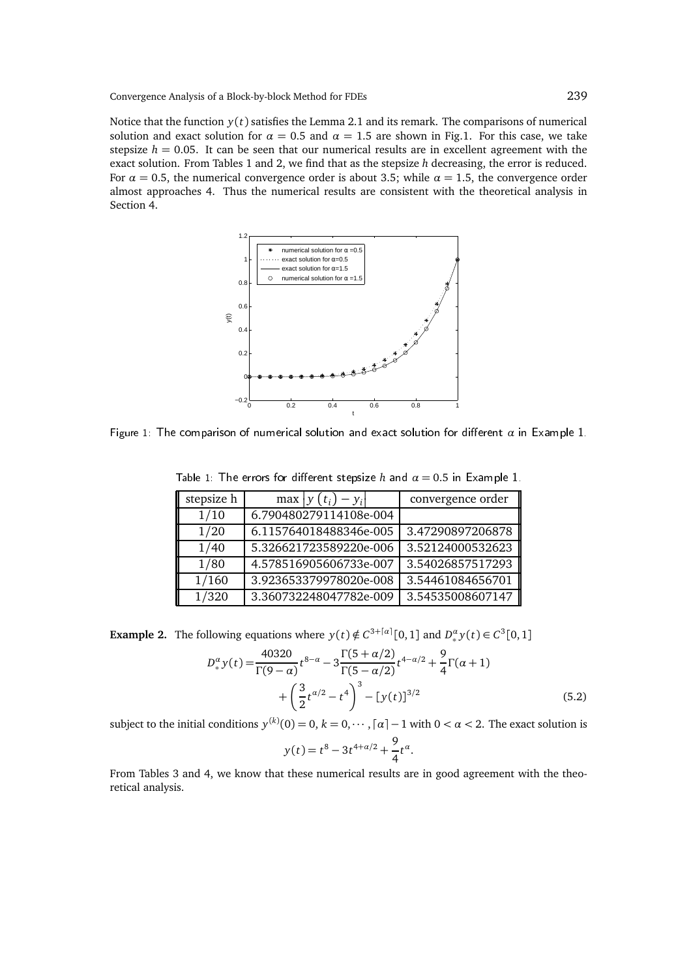Notice that the function  $y(t)$  satisfies the Lemma 2.1 and its remark. The comparisons of numerical solution and exact solution for  $\alpha = 0.5$  and  $\alpha = 1.5$  are shown in Fig.1. For this case, we take stepsize  $h = 0.05$ . It can be seen that our numerical results are in excellent agreement with the exact solution. From Tables 1 and 2, we find that as the stepsize *h* decreasing, the error is reduced. For  $\alpha = 0.5$ , the numerical convergence order is about 3.5; while  $\alpha = 1.5$ , the convergence order almost approaches 4. Thus the numerical results are consistent with the theoretical analysis in Section 4.



Figure 1: The comparison of numerical solution and exact solution for different  $\alpha$  in Example 1.

| stepsize h | $\max  y(t_i) - y_i $  | convergence order |
|------------|------------------------|-------------------|
| 1/10       | 6.790480279114108e-004 |                   |
| 1/20       | 6.115764018488346e-005 | 3.47290897206878  |
| 1/40       | 5.326621723589220e-006 | 3.52124000532623  |

1/80 4.578516905606733e-007 3.54026857517293 1/160 3.923653379978020e-008 3.54461084656701 1/320 3.360732248047782e-009 3.54535008607147

Table 1: The errors for different stepsize  $h$  and  $\alpha = 0.5$  in Example 1.

**Example 2.** The following equations where  $y(t) \notin C^{3+[a]}[0,1]$  and  $D_*^{\alpha}y(t) \in C^3[0,1]$ 

$$
D_{*}^{\alpha} y(t) = \frac{40320}{\Gamma(9-\alpha)} t^{8-\alpha} - 3\frac{\Gamma(5+\alpha/2)}{\Gamma(5-\alpha/2)} t^{4-\alpha/2} + \frac{9}{4}\Gamma(\alpha+1) + \left(\frac{3}{2}t^{\alpha/2} - t^4\right)^3 - [y(t)]^{3/2}
$$
\n(5.2)

.

subject to the initial conditions  $y^{(k)}(0) = 0, k = 0, \cdots, \lceil \alpha \rceil - 1$  with  $0 < \alpha < 2$ . The exact solution is

$$
y(t) = t^8 - 3t^{4+\alpha/2} + \frac{9}{4}t^{\alpha}
$$

From Tables 3 and 4, we know that these numerical results are in good agreement with the theoretical analysis.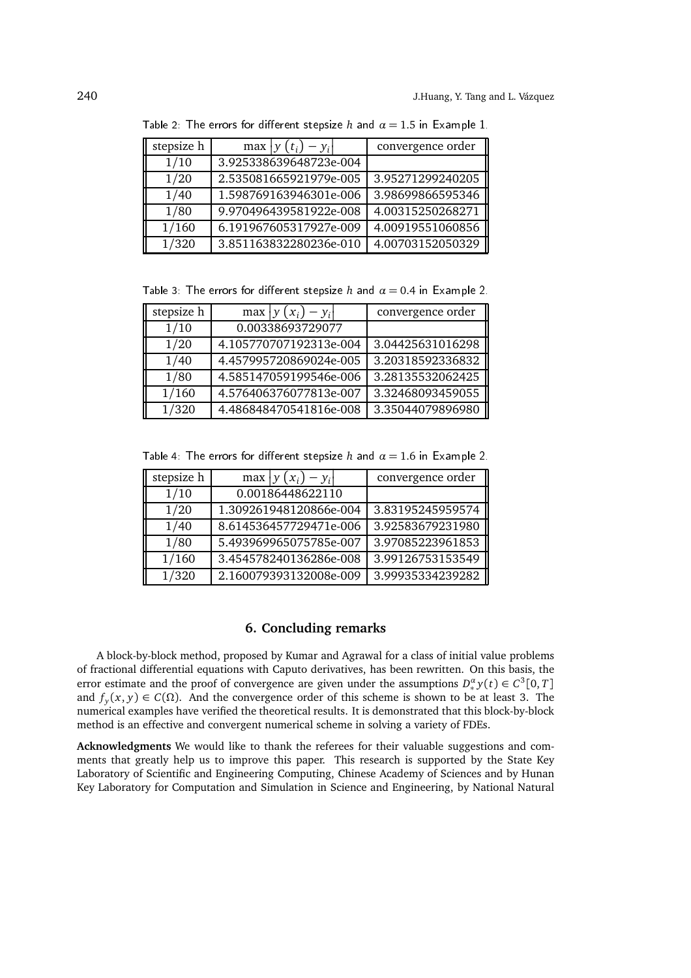| stepsize h | max $ y(t_i) - y_i $   | convergence order |
|------------|------------------------|-------------------|
| 1/10       | 3.925338639648723e-004 |                   |
| 1/20       | 2.535081665921979e-005 | 3.95271299240205  |
| 1/40       | 1.598769163946301e-006 | 3.98699866595346  |
| 1/80       | 9.970496439581922e-008 | 4.00315250268271  |
| 1/160      | 6.191967605317927e-009 | 4.00919551060856  |
| 1/320      | 3.851163832280236e-010 | 4.00703152050329  |

Table 2: The errors for different stepsize *h* and  $\alpha = 1.5$  in Example 1.

Table 3: The errors for different stepsize *h* and  $\alpha = 0.4$  in Example 2.

| stepsize h | max $ y(x_i) - y_i $   | convergence order |
|------------|------------------------|-------------------|
| 1/10       | 0.00338693729077       |                   |
| 1/20       | 4.105770707192313e-004 | 3.04425631016298  |
| 1/40       | 4.457995720869024e-005 | 3.20318592336832  |
| 1/80       | 4.585147059199546e-006 | 3.28135532062425  |
| 1/160      | 4.576406376077813e-007 | 3.32468093459055  |
| 1/320      | 4.486848470541816e-008 | 3.35044079896980  |

Table 4: The errors for different stepsize *h* and  $\alpha = 1.6$  in Example 2.

| stepsize h | max $ y(x_i) - y_i $   | convergence order |
|------------|------------------------|-------------------|
| 1/10       | 0.00186448622110       |                   |
| 1/20       | 1.309261948120866e-004 | 3.83195245959574  |
| 1/40       | 8.614536457729471e-006 | 3.92583679231980  |
| 1/80       | 5.493969965075785e-007 | 3.97085223961853  |
| 1/160      | 3.454578240136286e-008 | 3.99126753153549  |
| 1/320      | 2.160079393132008e-009 | 3.99935334239282  |

# **6. Concluding remarks**

A block-by-block method, proposed by Kumar and Agrawal for a class of initial value problems of fractional differential equations with Caputo derivatives, has been rewritten. On this basis, the error estimate and the proof of convergence are given under the assumptions  $D_*^{\alpha} y(t) \in C^3[0, T]$ and  $f_y(x, y) \in C(\Omega)$ . And the convergence order of this scheme is shown to be at least 3. The numerical examples have verified the theoretical results. It is demonstrated that this block-by-block method is an effective and convergent numerical scheme in solving a variety of FDEs.

**Acknowledgments** We would like to thank the referees for their valuable suggestions and comments that greatly help us to improve this paper. This research is supported by the State Key Laboratory of Scientific and Engineering Computing, Chinese Academy of Sciences and by Hunan Key Laboratory for Computation and Simulation in Science and Engineering, by National Natural